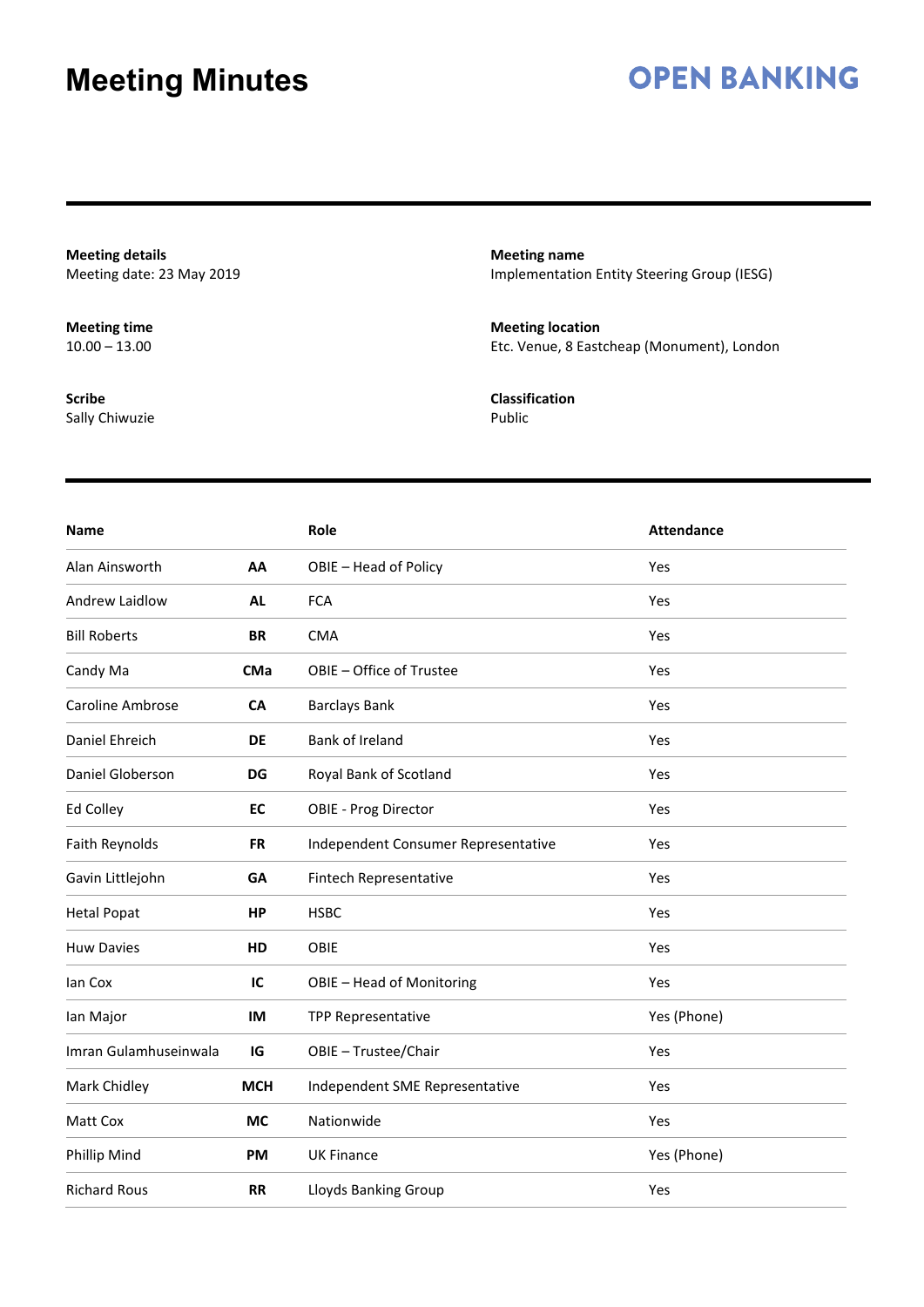### **OPEN BANKING**

**Meeting details** Meeting date: 23 May 2019

**Meeting time**  $10.00 - 13.00$ 

**Scribe** Sally Chiwuzie **Meeting name** Implementation Entity Steering Group (IESG)

**Meeting location** Etc. Venue, 8 Eastcheap (Monument), London

**Classification** Public

| <b>Name</b>             |            | Role                                | <b>Attendance</b> |
|-------------------------|------------|-------------------------------------|-------------------|
| Alan Ainsworth          | AA         | OBIE - Head of Policy               | Yes               |
| Andrew Laidlow          | <b>AL</b>  | <b>FCA</b>                          | Yes               |
| <b>Bill Roberts</b>     | <b>BR</b>  | <b>CMA</b>                          | Yes               |
| Candy Ma                | <b>CMa</b> | OBIE - Office of Trustee            | Yes               |
| <b>Caroline Ambrose</b> | <b>CA</b>  | <b>Barclays Bank</b>                | Yes               |
| Daniel Ehreich          | <b>DE</b>  | Bank of Ireland                     | Yes               |
| Daniel Globerson        | DG         | Royal Bank of Scotland              | Yes               |
| Ed Colley               | EC         | <b>OBIE - Prog Director</b>         | Yes               |
| Faith Reynolds          | <b>FR</b>  | Independent Consumer Representative | Yes               |
| Gavin Littlejohn        | GA         | Fintech Representative              | Yes               |
| <b>Hetal Popat</b>      | HP         | <b>HSBC</b>                         | Yes               |
| <b>Huw Davies</b>       | HD         | OBIE                                | Yes               |
| lan Cox                 | IC         | OBIE - Head of Monitoring           | Yes               |
| lan Major               | IM         | <b>TPP Representative</b>           | Yes (Phone)       |
| Imran Gulamhuseinwala   | IG         | OBIE - Trustee/Chair                | Yes               |
| Mark Chidley            | <b>MCH</b> | Independent SME Representative      | Yes               |
| Matt Cox                | <b>MC</b>  | Nationwide                          | Yes               |
| Phillip Mind            | PM         | <b>UK Finance</b>                   | Yes (Phone)       |
| <b>Richard Rous</b>     | <b>RR</b>  | Lloyds Banking Group                | Yes               |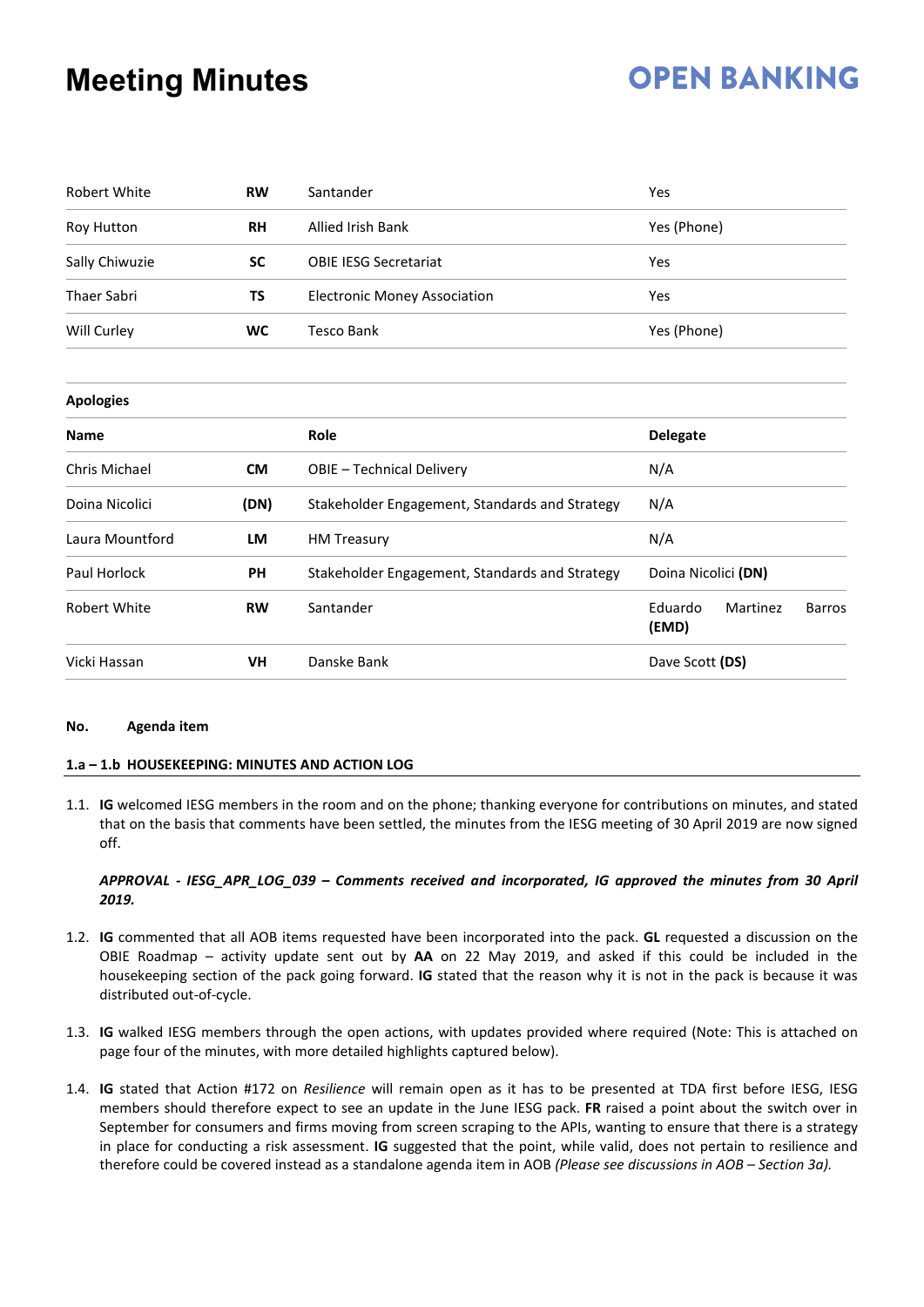## **OPEN BANKING**

| <b>Robert White</b> | <b>RW</b> | Santander                                      | Yes                                           |
|---------------------|-----------|------------------------------------------------|-----------------------------------------------|
| Roy Hutton          | <b>RH</b> | <b>Allied Irish Bank</b>                       | Yes (Phone)                                   |
| Sally Chiwuzie      | <b>SC</b> | <b>OBIE IESG Secretariat</b>                   | Yes                                           |
| <b>Thaer Sabri</b>  | TS        | <b>Electronic Money Association</b>            | Yes                                           |
| Will Curley         | WC        | <b>Tesco Bank</b>                              | Yes (Phone)                                   |
| <b>Apologies</b>    |           |                                                |                                               |
| <b>Name</b>         |           | Role                                           | <b>Delegate</b>                               |
| Chris Michael       | <b>CM</b> | OBIE - Technical Delivery                      | N/A                                           |
| Doina Nicolici      | (DN)      | Stakeholder Engagement, Standards and Strategy | N/A                                           |
| Laura Mountford     | LM        | <b>HM Treasury</b>                             | N/A                                           |
| Paul Horlock        | PH        | Stakeholder Engagement, Standards and Strategy | Doina Nicolici (DN)                           |
| <b>Robert White</b> | <b>RW</b> | Santander                                      | Eduardo<br>Martinez<br><b>Barros</b><br>(EMD) |
| Vicki Hassan        | VH        | Danske Bank                                    | Dave Scott (DS)                               |

#### **No. Agenda item**

#### **1.a – 1.b HOUSEKEEPING: MINUTES AND ACTION LOG**

1.1. **IG** welcomed IESG members in the room and on the phone; thanking everyone for contributions on minutes, and stated that on the basis that comments have been settled, the minutes from the IESG meeting of 30 April 2019 are now signed off.

#### *APPROVAL - IESG\_APR\_LOG\_039 – Comments received and incorporated, IG approved the minutes from 30 April 2019.*

- 1.2. **IG** commented that all AOB items requested have been incorporated into the pack. **GL** requested a discussion on the OBIE Roadmap – activity update sent out by **AA** on 22 May 2019, and asked if this could be included in the housekeeping section of the pack going forward. **IG** stated that the reason why it is not in the pack is because it was distributed out-of-cycle.
- 1.3. **IG** walked IESG members through the open actions, with updates provided where required (Note: This is attached on page four of the minutes, with more detailed highlights captured below).
- 1.4. **IG** stated that Action #172 on *Resilience* will remain open as it has to be presented at TDA first before IESG, IESG members should therefore expect to see an update in the June IESG pack. **FR** raised a point about the switch over in September for consumers and firms moving from screen scraping to the APIs, wanting to ensure that there is a strategy in place for conducting a risk assessment. **IG** suggested that the point, while valid, does not pertain to resilience and therefore could be covered instead as a standalone agenda item in AOB *(Please see discussions in AOB – Section 3a).*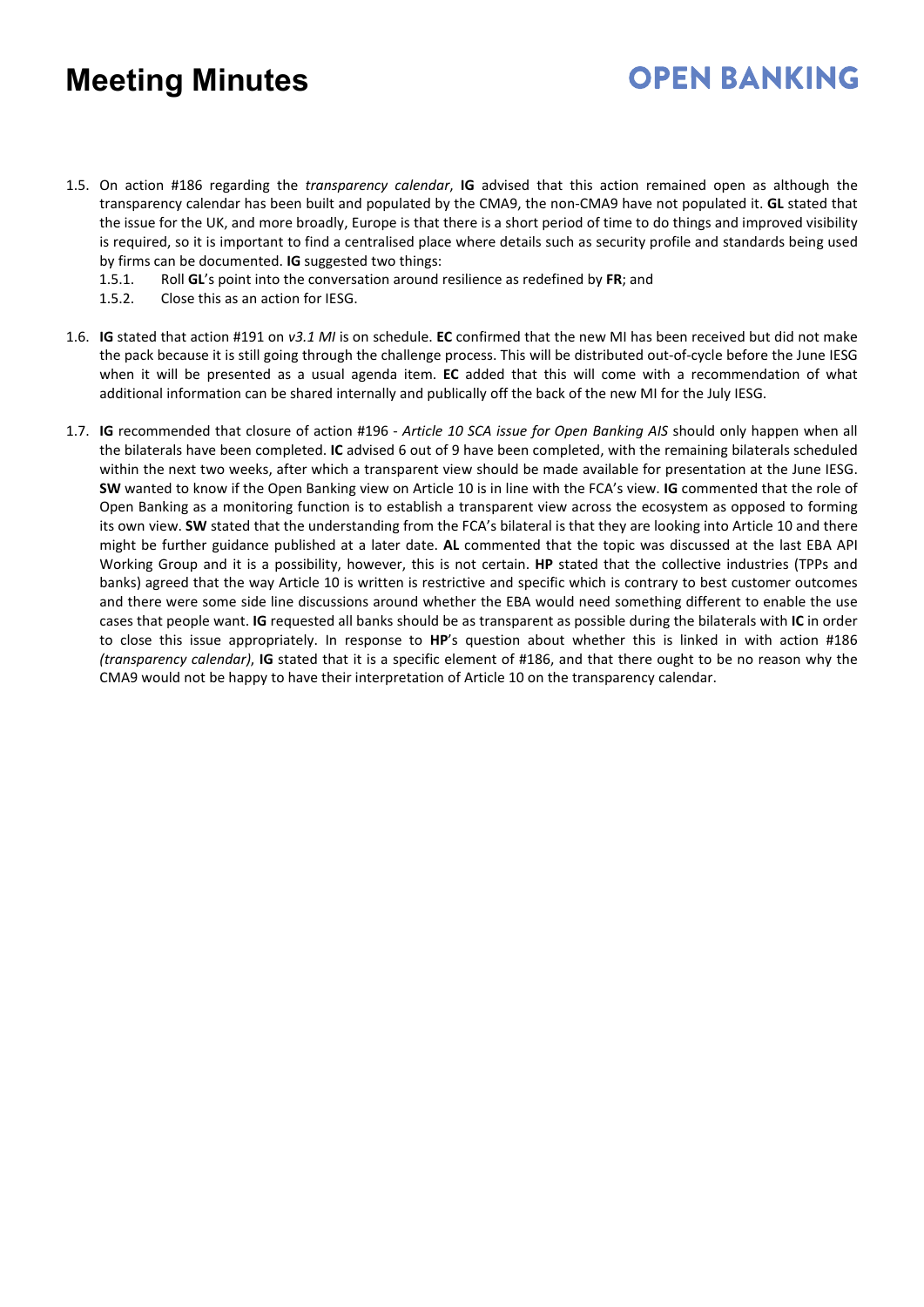1.5. On action #186 regarding the *transparency calendar*, **IG** advised that this action remained open as although the transparency calendar has been built and populated by the CMA9, the non-CMA9 have not populated it. **GL** stated that the issue for the UK, and more broadly, Europe is that there is a short period of time to do things and improved visibility is required, so it is important to find a centralised place where details such as security profile and standards being used by firms can be documented. **IG** suggested two things:

- 1.5.1. Roll **GL**'s point into the conversation around resilience as redefined by **FR**; and
- 1.5.2. Close this as an action for IESG.
- 1.6. **IG** stated that action #191 on *v3.1 MI* is on schedule. **EC** confirmed that the new MI has been received but did not make the pack because it is still going through the challenge process. This will be distributed out-of-cycle before the June IESG when it will be presented as a usual agenda item. **EC** added that this will come with a recommendation of what additional information can be shared internally and publically off the back of the new MI for the July IESG.
- 1.7. **IG** recommended that closure of action #196 *Article 10 SCA issue for Open Banking AIS* should only happen when all the bilaterals have been completed. **IC** advised 6 out of 9 have been completed, with the remaining bilaterals scheduled within the next two weeks, after which a transparent view should be made available for presentation at the June IESG. **SW** wanted to know if the Open Banking view on Article 10 is in line with the FCA's view. **IG** commented that the role of Open Banking as a monitoring function is to establish a transparent view across the ecosystem as opposed to forming its own view. **SW** stated that the understanding from the FCA's bilateral is that they are looking into Article 10 and there might be further guidance published at a later date. **AL** commented that the topic was discussed at the last EBA API Working Group and it is a possibility, however, this is not certain. **HP** stated that the collective industries (TPPs and banks) agreed that the way Article 10 is written is restrictive and specific which is contrary to best customer outcomes and there were some side line discussions around whether the EBA would need something different to enable the use cases that people want. **IG** requested all banks should be as transparent as possible during the bilaterals with **IC** in order to close this issue appropriately. In response to **HP**'s question about whether this is linked in with action #186 *(transparency calendar)*, **IG** stated that it is a specific element of #186, and that there ought to be no reason why the CMA9 would not be happy to have their interpretation of Article 10 on the transparency calendar.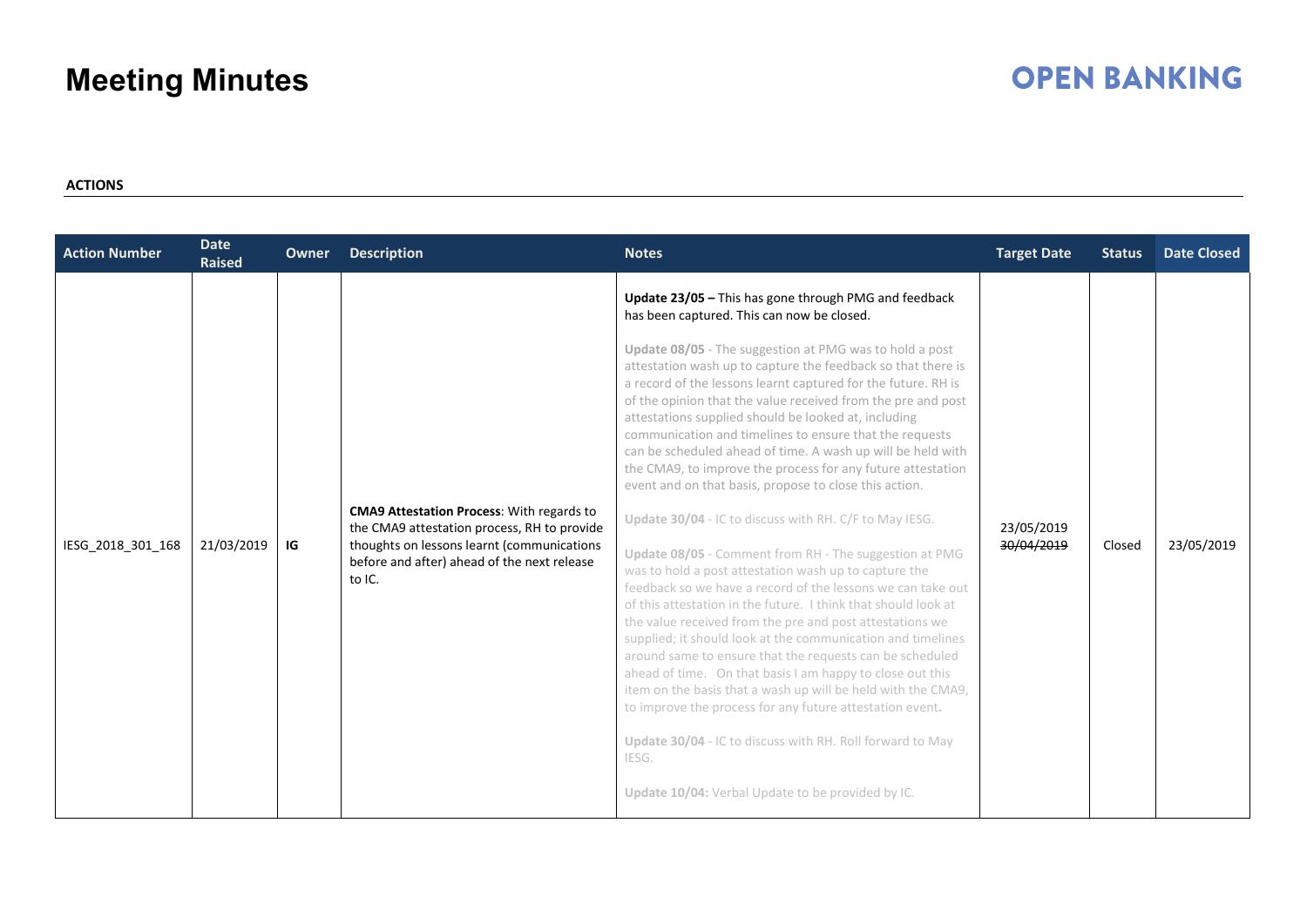### **OPEN BANKING**

### **ACTIONS**

| <b>Action Number</b> | <b>Date</b><br><b>Raised</b> | Owner | <b>Description</b>                                                                                                                                                                                     | <b>Notes</b>                                                                                                                                                                                                                                                                                                                                                                                                                                                                                                                                                                                                                                                                                                                                                                                                                                                                                                                                                                                                                                                                                                                                                                                                                                                                                                                                                                                                                                                                                        | <b>Target Date</b>       | <b>Status</b> | <b>Date Closed</b> |
|----------------------|------------------------------|-------|--------------------------------------------------------------------------------------------------------------------------------------------------------------------------------------------------------|-----------------------------------------------------------------------------------------------------------------------------------------------------------------------------------------------------------------------------------------------------------------------------------------------------------------------------------------------------------------------------------------------------------------------------------------------------------------------------------------------------------------------------------------------------------------------------------------------------------------------------------------------------------------------------------------------------------------------------------------------------------------------------------------------------------------------------------------------------------------------------------------------------------------------------------------------------------------------------------------------------------------------------------------------------------------------------------------------------------------------------------------------------------------------------------------------------------------------------------------------------------------------------------------------------------------------------------------------------------------------------------------------------------------------------------------------------------------------------------------------------|--------------------------|---------------|--------------------|
| IESG_2018_301_168    | 21/03/2019                   | IG    | <b>CMA9 Attestation Process: With regards to</b><br>the CMA9 attestation process, RH to provide<br>thoughts on lessons learnt (communications<br>before and after) ahead of the next release<br>to IC. | Update 23/05 - This has gone through PMG and feedback<br>has been captured. This can now be closed.<br>Update 08/05 - The suggestion at PMG was to hold a post<br>attestation wash up to capture the feedback so that there is<br>a record of the lessons learnt captured for the future. RH is<br>of the opinion that the value received from the pre and post<br>attestations supplied should be looked at, including<br>communication and timelines to ensure that the requests<br>can be scheduled ahead of time. A wash up will be held with<br>the CMA9, to improve the process for any future attestation<br>event and on that basis, propose to close this action.<br>Update 30/04 - IC to discuss with RH. C/F to May IESG.<br>Update 08/05 - Comment from RH - The suggestion at PMG<br>was to hold a post attestation wash up to capture the<br>feedback so we have a record of the lessons we can take out<br>of this attestation in the future. I think that should look at<br>the value received from the pre and post attestations we<br>supplied; it should look at the communication and timelines<br>around same to ensure that the requests can be scheduled<br>ahead of time. On that basis I am happy to close out this<br>item on the basis that a wash up will be held with the CMA9,<br>to improve the process for any future attestation event.<br>Update 30/04 - IC to discuss with RH. Roll forward to May<br>IESG.<br>Update 10/04: Verbal Update to be provided by IC. | 23/05/2019<br>30/04/2019 | Closed        | 23/05/2019         |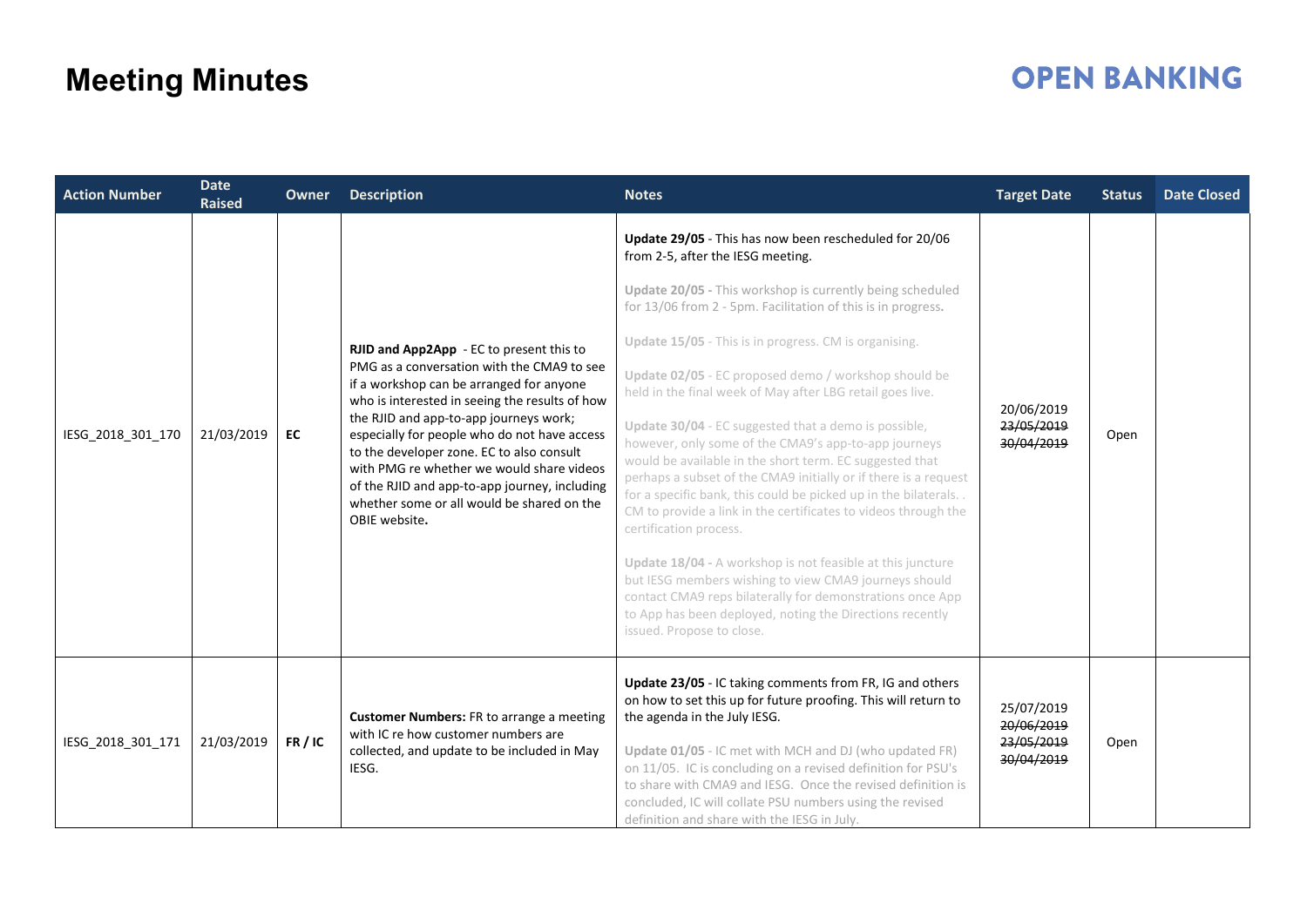| <b>Action Number</b> | <b>Date</b><br><b>Raised</b> | <b>Owner</b> | <b>Description</b>                                                                                                                                                                                                                                                                                                                                                                                                                                                                       | <b>Notes</b>                                                                                                                                                                                                                                                                                                                                                                                                                                                                                                                                                                                                                                                                                                                                                                                                                                                                                                                                                                                                                                                                                    | <b>Target Date</b>                                   | <b>Status</b> | <b>Date Closed</b> |
|----------------------|------------------------------|--------------|------------------------------------------------------------------------------------------------------------------------------------------------------------------------------------------------------------------------------------------------------------------------------------------------------------------------------------------------------------------------------------------------------------------------------------------------------------------------------------------|-------------------------------------------------------------------------------------------------------------------------------------------------------------------------------------------------------------------------------------------------------------------------------------------------------------------------------------------------------------------------------------------------------------------------------------------------------------------------------------------------------------------------------------------------------------------------------------------------------------------------------------------------------------------------------------------------------------------------------------------------------------------------------------------------------------------------------------------------------------------------------------------------------------------------------------------------------------------------------------------------------------------------------------------------------------------------------------------------|------------------------------------------------------|---------------|--------------------|
| IESG_2018_301_170    | 21/03/2019                   | EC           | RJID and App2App - EC to present this to<br>PMG as a conversation with the CMA9 to see<br>if a workshop can be arranged for anyone<br>who is interested in seeing the results of how<br>the RJID and app-to-app journeys work;<br>especially for people who do not have access<br>to the developer zone. EC to also consult<br>with PMG re whether we would share videos<br>of the RJID and app-to-app journey, including<br>whether some or all would be shared on the<br>OBIE website. | Update 29/05 - This has now been rescheduled for 20/06<br>from 2-5, after the IESG meeting.<br>Update 20/05 - This workshop is currently being scheduled<br>for 13/06 from 2 - 5pm. Facilitation of this is in progress.<br>Update 15/05 - This is in progress. CM is organising.<br>Update 02/05 - EC proposed demo / workshop should be<br>held in the final week of May after LBG retail goes live.<br>Update 30/04 - EC suggested that a demo is possible,<br>however, only some of the CMA9's app-to-app journeys<br>would be available in the short term. EC suggested that<br>perhaps a subset of the CMA9 initially or if there is a request<br>for a specific bank, this could be picked up in the bilaterals<br>CM to provide a link in the certificates to videos through the<br>certification process.<br>Update 18/04 - A workshop is not feasible at this juncture<br>but IESG members wishing to view CMA9 journeys should<br>contact CMA9 reps bilaterally for demonstrations once App<br>to App has been deployed, noting the Directions recently<br>issued. Propose to close. | 20/06/2019<br>23/05/2019<br>30/04/2019               | Open          |                    |
| IESG_2018_301_171    | 21/03/2019                   | FR / IC      | <b>Customer Numbers:</b> FR to arrange a meeting<br>with IC re how customer numbers are<br>collected, and update to be included in May<br>IESG.                                                                                                                                                                                                                                                                                                                                          | Update 23/05 - IC taking comments from FR, IG and others<br>on how to set this up for future proofing. This will return to<br>the agenda in the July IESG.<br>Update 01/05 - IC met with MCH and DJ (who updated FR)<br>on 11/05. IC is concluding on a revised definition for PSU's<br>to share with CMA9 and IESG. Once the revised definition is<br>concluded, IC will collate PSU numbers using the revised<br>definition and share with the IESG in July.                                                                                                                                                                                                                                                                                                                                                                                                                                                                                                                                                                                                                                  | 25/07/2019<br>20/06/2019<br>23/05/2019<br>30/04/2019 | Open          |                    |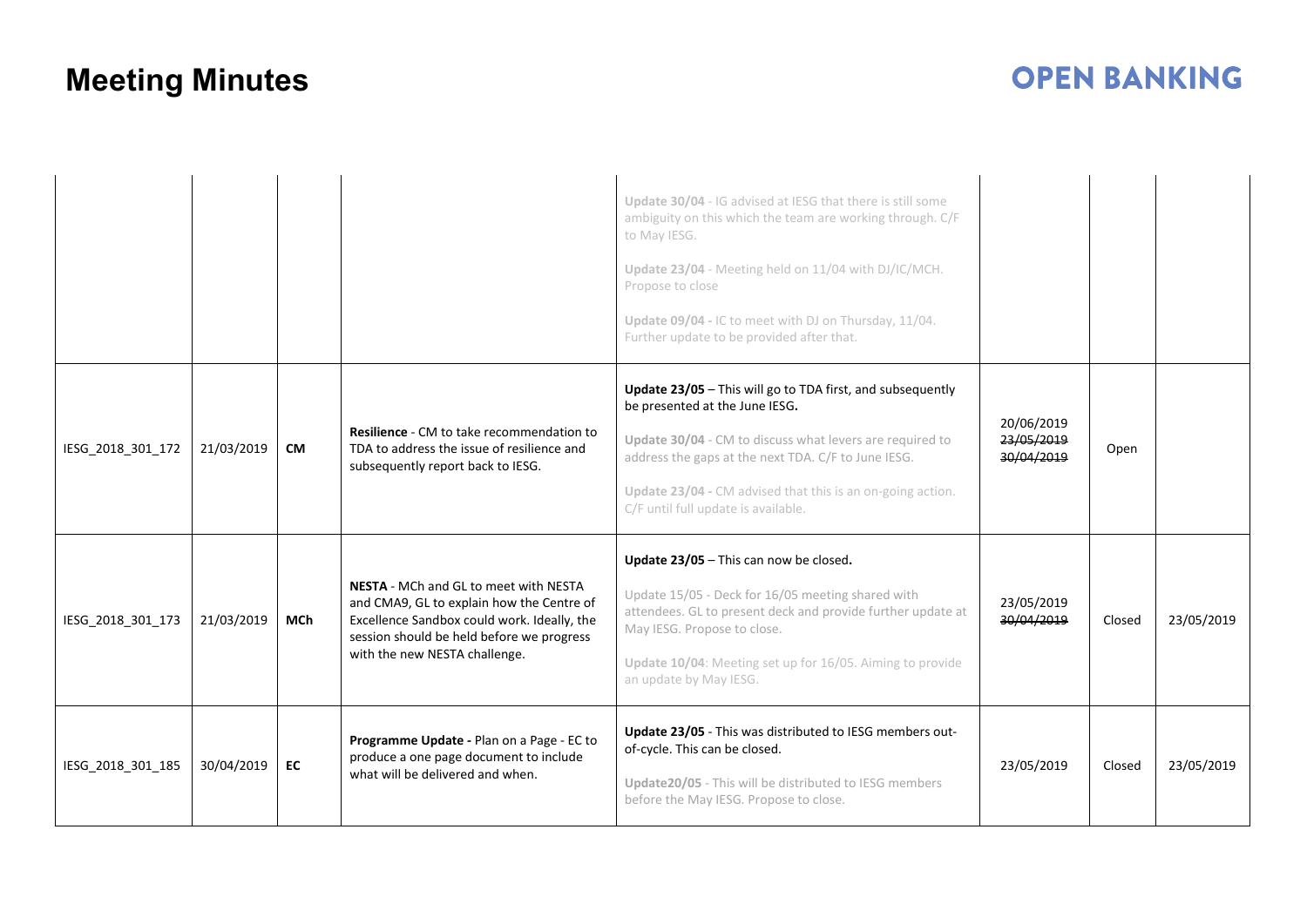|                   |            |            |                                                                                                                                                                                                                 | Update 30/04 - IG advised at IESG that there is still some<br>ambiguity on this which the team are working through. C/F<br>to May IESG.<br>Update 23/04 - Meeting held on 11/04 with DJ/IC/MCH.<br>Propose to close<br>Update 09/04 - IC to meet with DJ on Thursday, 11/04.<br>Further update to be provided after that. |                                        |        |            |
|-------------------|------------|------------|-----------------------------------------------------------------------------------------------------------------------------------------------------------------------------------------------------------------|---------------------------------------------------------------------------------------------------------------------------------------------------------------------------------------------------------------------------------------------------------------------------------------------------------------------------|----------------------------------------|--------|------------|
| IESG 2018 301 172 | 21/03/2019 | <b>CM</b>  | <b>Resilience - CM to take recommendation to</b><br>TDA to address the issue of resilience and<br>subsequently report back to IESG.                                                                             | Update 23/05 - This will go to TDA first, and subsequently<br>be presented at the June IESG.<br>Update 30/04 - CM to discuss what levers are required to<br>address the gaps at the next TDA. C/F to June IESG.<br>Update 23/04 - CM advised that this is an on-going action.<br>C/F until full update is available.      | 20/06/2019<br>23/05/2019<br>30/04/2019 | Open   |            |
| IESG 2018 301 173 | 21/03/2019 | <b>MCh</b> | NESTA - MCh and GL to meet with NESTA<br>and CMA9, GL to explain how the Centre of<br>Excellence Sandbox could work. Ideally, the<br>session should be held before we progress<br>with the new NESTA challenge. | Update 23/05 - This can now be closed.<br>Update 15/05 - Deck for 16/05 meeting shared with<br>attendees. GL to present deck and provide further update at<br>May IESG. Propose to close.<br>Update 10/04: Meeting set up for 16/05. Aiming to provide<br>an update by May IESG.                                          | 23/05/2019<br>30/04/2019               | Closed | 23/05/2019 |
| IESG 2018 301 185 | 30/04/2019 | EC         | Programme Update - Plan on a Page - EC to<br>produce a one page document to include<br>what will be delivered and when.                                                                                         | Update 23/05 - This was distributed to IESG members out-<br>of-cycle. This can be closed.<br>Update20/05 - This will be distributed to IESG members<br>before the May IESG. Propose to close.                                                                                                                             | 23/05/2019                             | Closed | 23/05/2019 |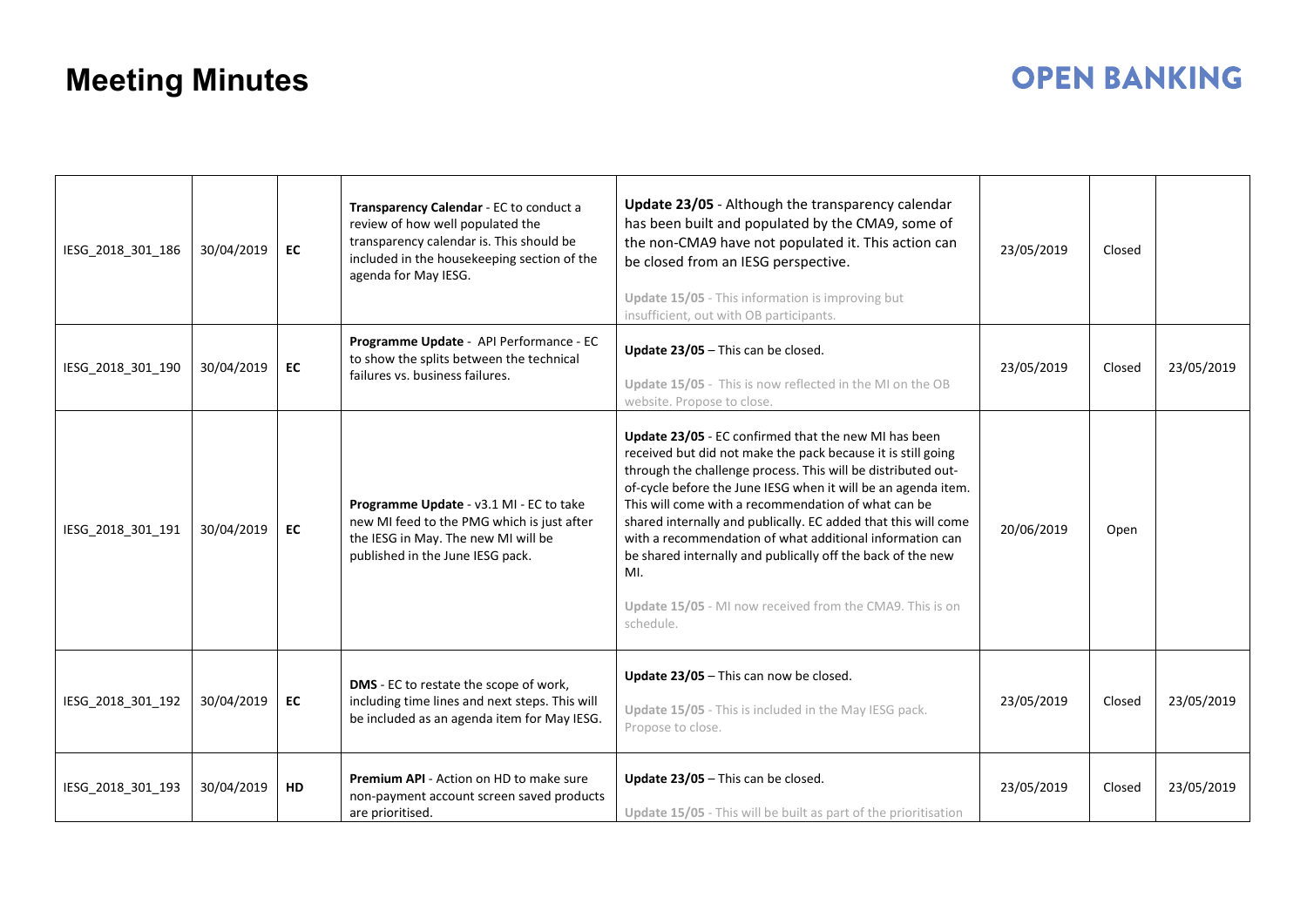| IESG_2018_301_186 | 30/04/2019 | EC        | Transparency Calendar - EC to conduct a<br>review of how well populated the<br>transparency calendar is. This should be<br>included in the housekeeping section of the<br>agenda for May IESG. | Update 23/05 - Although the transparency calendar<br>has been built and populated by the CMA9, some of<br>the non-CMA9 have not populated it. This action can<br>be closed from an IESG perspective.<br>Update 15/05 - This information is improving but<br>insufficient, out with OB participants.                                                                                                                                                                                                                                                                                       | 23/05/2019 | Closed |            |
|-------------------|------------|-----------|------------------------------------------------------------------------------------------------------------------------------------------------------------------------------------------------|-------------------------------------------------------------------------------------------------------------------------------------------------------------------------------------------------------------------------------------------------------------------------------------------------------------------------------------------------------------------------------------------------------------------------------------------------------------------------------------------------------------------------------------------------------------------------------------------|------------|--------|------------|
| IESG_2018_301_190 | 30/04/2019 | EC        | Programme Update - API Performance - EC<br>to show the splits between the technical<br>failures vs. business failures.                                                                         | Update 23/05 - This can be closed.<br>Update 15/05 - This is now reflected in the MI on the OB<br>website. Propose to close.                                                                                                                                                                                                                                                                                                                                                                                                                                                              | 23/05/2019 | Closed | 23/05/2019 |
| IESG_2018_301_191 | 30/04/2019 | EC        | Programme Update - v3.1 MI - EC to take<br>new MI feed to the PMG which is just after<br>the IESG in May. The new MI will be<br>published in the June IESG pack.                               | Update 23/05 - EC confirmed that the new MI has been<br>received but did not make the pack because it is still going<br>through the challenge process. This will be distributed out-<br>of-cycle before the June IESG when it will be an agenda item.<br>This will come with a recommendation of what can be<br>shared internally and publically. EC added that this will come<br>with a recommendation of what additional information can<br>be shared internally and publically off the back of the new<br>MI.<br>Update 15/05 - MI now received from the CMA9. This is on<br>schedule. | 20/06/2019 | Open   |            |
| IESG_2018_301_192 | 30/04/2019 | EC        | DMS - EC to restate the scope of work,<br>including time lines and next steps. This will<br>be included as an agenda item for May IESG.                                                        | Update 23/05 - This can now be closed.<br>Update 15/05 - This is included in the May IESG pack.<br>Propose to close.                                                                                                                                                                                                                                                                                                                                                                                                                                                                      | 23/05/2019 | Closed | 23/05/2019 |
| IESG_2018_301_193 | 30/04/2019 | <b>HD</b> | Premium API - Action on HD to make sure<br>non-payment account screen saved products<br>are prioritised.                                                                                       | Update $23/05$ – This can be closed.<br>Update 15/05 - This will be built as part of the prioritisation                                                                                                                                                                                                                                                                                                                                                                                                                                                                                   | 23/05/2019 | Closed | 23/05/2019 |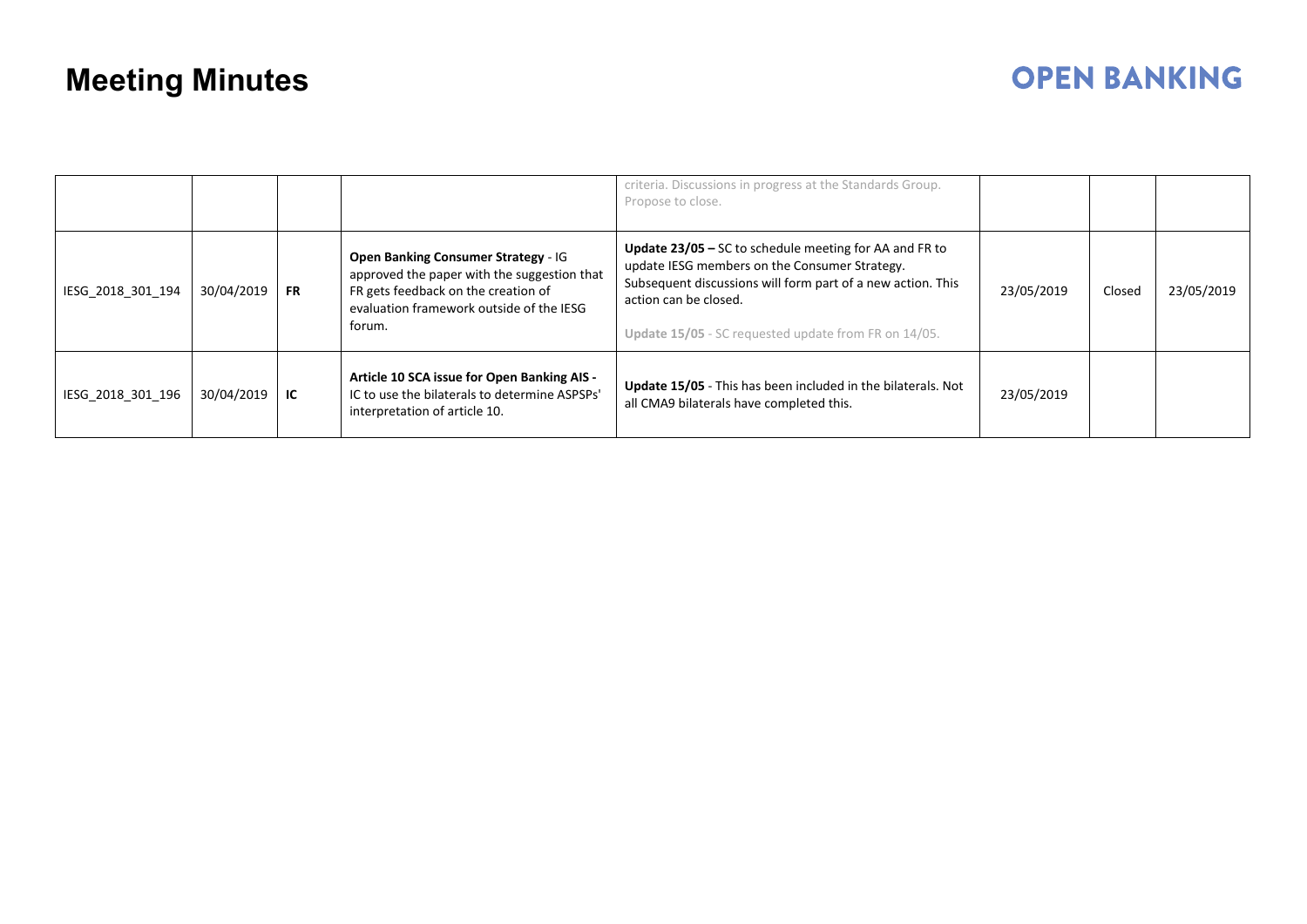|                   |            |           |                                                                                                                                                                                        | criteria. Discussions in progress at the Standards Group.<br>Propose to close.                                                                                                                                                                                 |            |        |            |
|-------------------|------------|-----------|----------------------------------------------------------------------------------------------------------------------------------------------------------------------------------------|----------------------------------------------------------------------------------------------------------------------------------------------------------------------------------------------------------------------------------------------------------------|------------|--------|------------|
| IESG 2018 301 194 | 30/04/2019 | <b>FR</b> | <b>Open Banking Consumer Strategy - IG</b><br>approved the paper with the suggestion that<br>FR gets feedback on the creation of<br>evaluation framework outside of the IESG<br>forum. | <b>Update 23/05 – SC to schedule meeting for AA and FR to</b><br>update IESG members on the Consumer Strategy.<br>Subsequent discussions will form part of a new action. This<br>action can be closed.<br>Update 15/05 - SC requested update from FR on 14/05. | 23/05/2019 | Closed | 23/05/2019 |
| IESG 2018 301 196 | 30/04/2019 | IC        | Article 10 SCA issue for Open Banking AIS -<br>IC to use the bilaterals to determine ASPSPs'<br>interpretation of article 10.                                                          | Update 15/05 - This has been included in the bilaterals. Not<br>all CMA9 bilaterals have completed this.                                                                                                                                                       | 23/05/2019 |        |            |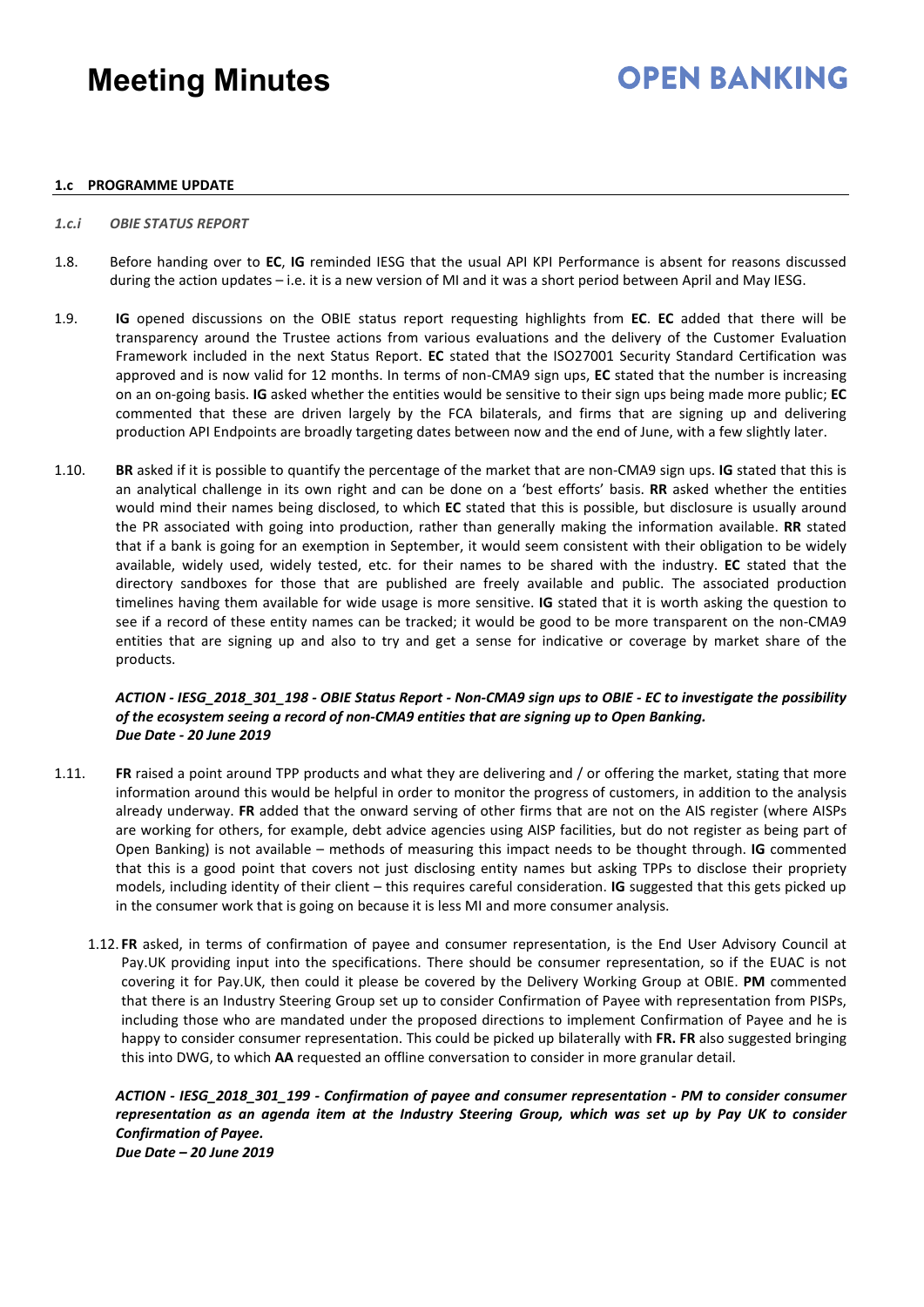### **OPEN BANKING**

#### **1.c PROGRAMME UPDATE**

#### *1.c.i OBIE STATUS REPORT*

- 1.8. Before handing over to **EC**, **IG** reminded IESG that the usual API KPI Performance is absent for reasons discussed during the action updates – i.e. it is a new version of MI and it was a short period between April and May IESG.
- 1.9. **IG** opened discussions on the OBIE status report requesting highlights from **EC**. **EC** added that there will be transparency around the Trustee actions from various evaluations and the delivery of the Customer Evaluation Framework included in the next Status Report. **EC** stated that the ISO27001 Security Standard Certification was approved and is now valid for 12 months. In terms of non-CMA9 sign ups, **EC** stated that the number is increasing on an on-going basis. **IG** asked whether the entities would be sensitive to their sign ups being made more public; **EC** commented that these are driven largely by the FCA bilaterals, and firms that are signing up and delivering production API Endpoints are broadly targeting dates between now and the end of June, with a few slightly later.
- 1.10. **BR** asked if it is possible to quantify the percentage of the market that are non-CMA9 sign ups. **IG** stated that this is an analytical challenge in its own right and can be done on a 'best efforts' basis. **RR** asked whether the entities would mind their names being disclosed, to which **EC** stated that this is possible, but disclosure is usually around the PR associated with going into production, rather than generally making the information available. **RR** stated that if a bank is going for an exemption in September, it would seem consistent with their obligation to be widely available, widely used, widely tested, etc. for their names to be shared with the industry. **EC** stated that the directory sandboxes for those that are published are freely available and public. The associated production timelines having them available for wide usage is more sensitive. **IG** stated that it is worth asking the question to see if a record of these entity names can be tracked; it would be good to be more transparent on the non-CMA9 entities that are signing up and also to try and get a sense for indicative or coverage by market share of the products.

### *ACTION - IESG\_2018\_301\_198 - OBIE Status Report - Non-CMA9 sign ups to OBIE - EC to investigate the possibility of the ecosystem seeing a record of non-CMA9 entities that are signing up to Open Banking. Due Date - 20 June 2019*

- 1.11. **FR** raised a point around TPP products and what they are delivering and / or offering the market, stating that more information around this would be helpful in order to monitor the progress of customers, in addition to the analysis already underway. **FR** added that the onward serving of other firms that are not on the AIS register (where AISPs are working for others, for example, debt advice agencies using AISP facilities, but do not register as being part of Open Banking) is not available – methods of measuring this impact needs to be thought through. **IG** commented that this is a good point that covers not just disclosing entity names but asking TPPs to disclose their propriety models, including identity of their client – this requires careful consideration. **IG** suggested that this gets picked up in the consumer work that is going on because it is less MI and more consumer analysis.
	- 1.12. **FR** asked, in terms of confirmation of payee and consumer representation, is the End User Advisory Council at Pay.UK providing input into the specifications. There should be consumer representation, so if the EUAC is not covering it for Pay.UK, then could it please be covered by the Delivery Working Group at OBIE. **PM** commented that there is an Industry Steering Group set up to consider Confirmation of Payee with representation from PISPs, including those who are mandated under the proposed directions to implement Confirmation of Payee and he is happy to consider consumer representation. This could be picked up bilaterally with **FR. FR** also suggested bringing this into DWG, to which **AA** requested an offline conversation to consider in more granular detail.

*ACTION - IESG\_2018\_301\_199 - Confirmation of payee and consumer representation - PM to consider consumer representation as an agenda item at the Industry Steering Group, which was set up by Pay UK to consider Confirmation of Payee.*

*Due Date – 20 June 2019*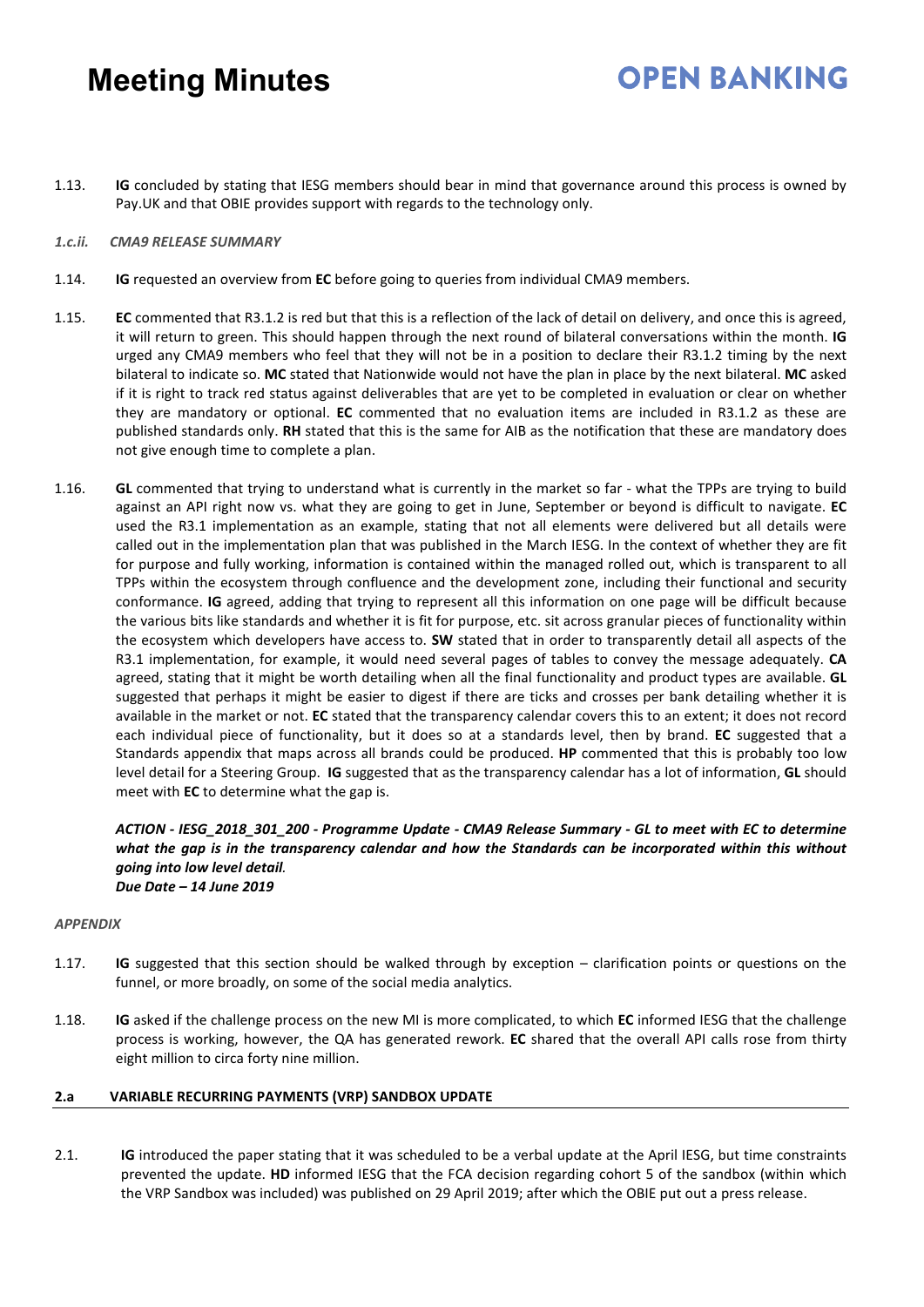1.13. **IG** concluded by stating that IESG members should bear in mind that governance around this process is owned by Pay.UK and that OBIE provides support with regards to the technology only.

**OPEN RANKING** 

#### *1.c.ii. CMA9 RELEASE SUMMARY*

- 1.14. **IG** requested an overview from **EC** before going to queries from individual CMA9 members.
- 1.15. **EC** commented that R3.1.2 is red but that this is a reflection of the lack of detail on delivery, and once this is agreed, it will return to green. This should happen through the next round of bilateral conversations within the month. **IG** urged any CMA9 members who feel that they will not be in a position to declare their R3.1.2 timing by the next bilateral to indicate so. **MC** stated that Nationwide would not have the plan in place by the next bilateral. **MC** asked if it is right to track red status against deliverables that are yet to be completed in evaluation or clear on whether they are mandatory or optional. **EC** commented that no evaluation items are included in R3.1.2 as these are published standards only. **RH** stated that this is the same for AIB as the notification that these are mandatory does not give enough time to complete a plan.
- 1.16. **GL** commented that trying to understand what is currently in the market so far what the TPPs are trying to build against an API right now vs. what they are going to get in June, September or beyond is difficult to navigate. **EC** used the R3.1 implementation as an example, stating that not all elements were delivered but all details were called out in the implementation plan that was published in the March IESG. In the context of whether they are fit for purpose and fully working, information is contained within the managed rolled out, which is transparent to all TPPs within the ecosystem through confluence and the development zone, including their functional and security conformance. **IG** agreed, adding that trying to represent all this information on one page will be difficult because the various bits like standards and whether it is fit for purpose, etc. sit across granular pieces of functionality within the ecosystem which developers have access to. **SW** stated that in order to transparently detail all aspects of the R3.1 implementation, for example, it would need several pages of tables to convey the message adequately. **CA** agreed, stating that it might be worth detailing when all the final functionality and product types are available. **GL** suggested that perhaps it might be easier to digest if there are ticks and crosses per bank detailing whether it is available in the market or not. **EC** stated that the transparency calendar covers this to an extent; it does not record each individual piece of functionality, but it does so at a standards level, then by brand. **EC** suggested that a Standards appendix that maps across all brands could be produced. **HP** commented that this is probably too low level detail for a Steering Group. **IG** suggested that as the transparency calendar has a lot of information, **GL** should meet with **EC** to determine what the gap is.

*ACTION - IESG\_2018\_301\_200 - Programme Update - CMA9 Release Summary - GL to meet with EC to determine what the gap is in the transparency calendar and how the Standards can be incorporated within this without going into low level detail. Due Date – 14 June 2019* 

#### *APPENDIX*

- 1.17. **IG** suggested that this section should be walked through by exception clarification points or questions on the funnel, or more broadly, on some of the social media analytics.
- 1.18. **IG** asked if the challenge process on the new MI is more complicated, to which **EC** informed IESG that the challenge process is working, however, the QA has generated rework. **EC** shared that the overall API calls rose from thirty eight million to circa forty nine million.

### **2.a VARIABLE RECURRING PAYMENTS (VRP) SANDBOX UPDATE**

2.1. **IG** introduced the paper stating that it was scheduled to be a verbal update at the April IESG, but time constraints prevented the update. **HD** informed IESG that the FCA decision regarding cohort 5 of the sandbox (within which the VRP Sandbox was included) was published on 29 April 2019; after which the OBIE put out a press release.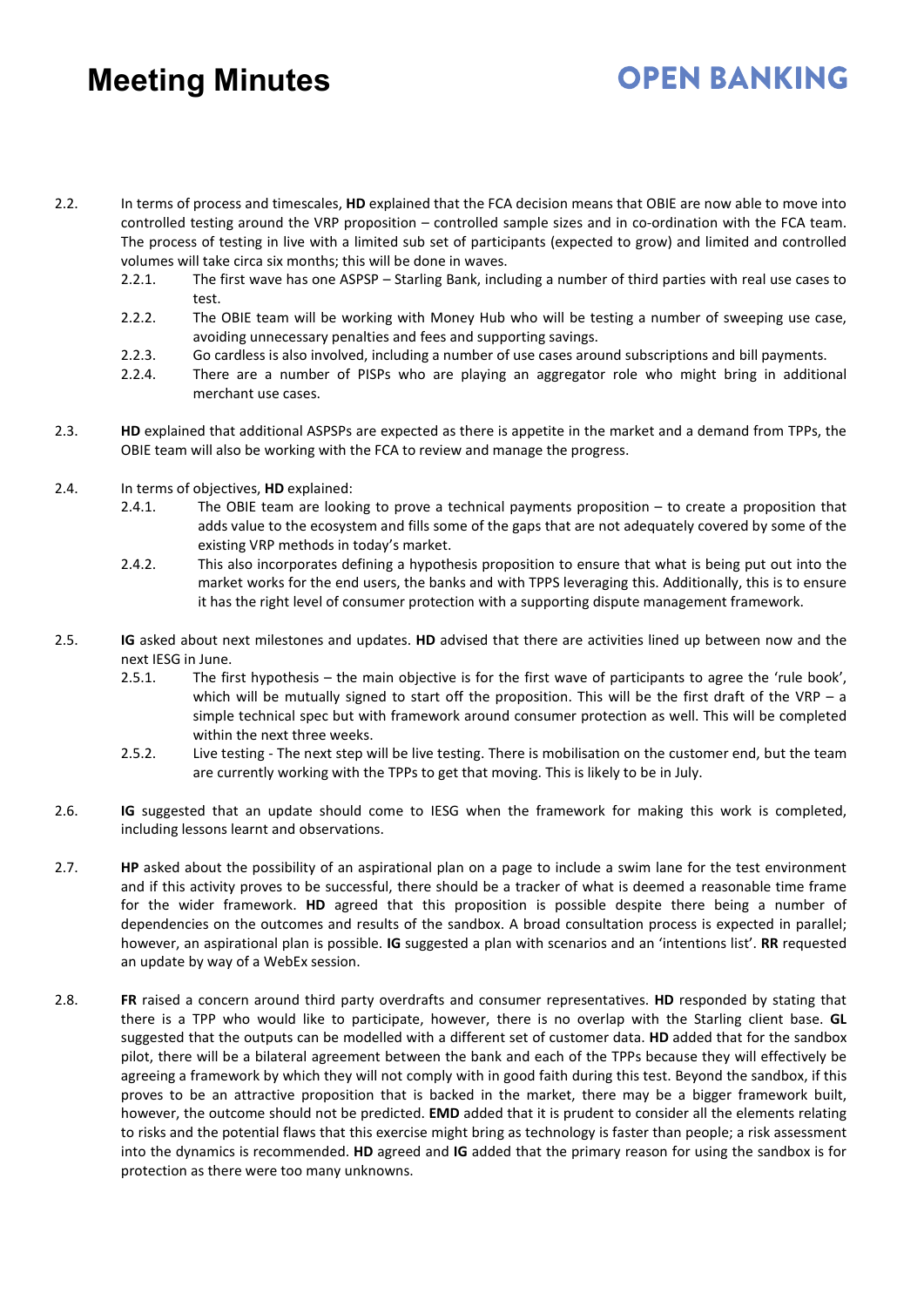- 2.2. In terms of process and timescales, **HD** explained that the FCA decision means that OBIE are now able to move into controlled testing around the VRP proposition – controlled sample sizes and in co-ordination with the FCA team. The process of testing in live with a limited sub set of participants (expected to grow) and limited and controlled volumes will take circa six months; this will be done in waves.
	- 2.2.1. The first wave has one ASPSP Starling Bank, including a number of third parties with real use cases to test.
	- 2.2.2. The OBIE team will be working with Money Hub who will be testing a number of sweeping use case, avoiding unnecessary penalties and fees and supporting savings.
	- 2.2.3. Go cardless is also involved, including a number of use cases around subscriptions and bill payments.
	- 2.2.4. There are a number of PISPs who are playing an aggregator role who might bring in additional merchant use cases.
- 2.3. **HD** explained that additional ASPSPs are expected as there is appetite in the market and a demand from TPPs, the OBIE team will also be working with the FCA to review and manage the progress.
- 2.4. In terms of objectives, **HD** explained:
	- 2.4.1. The OBIE team are looking to prove a technical payments proposition to create a proposition that adds value to the ecosystem and fills some of the gaps that are not adequately covered by some of the existing VRP methods in today's market.
	- 2.4.2. This also incorporates defining a hypothesis proposition to ensure that what is being put out into the market works for the end users, the banks and with TPPS leveraging this. Additionally, this is to ensure it has the right level of consumer protection with a supporting dispute management framework.
- 2.5. **IG** asked about next milestones and updates. **HD** advised that there are activities lined up between now and the next IESG in June.
	- 2.5.1. The first hypothesis the main objective is for the first wave of participants to agree the 'rule book', which will be mutually signed to start off the proposition. This will be the first draft of the VRP – a simple technical spec but with framework around consumer protection as well. This will be completed within the next three weeks.
	- 2.5.2. Live testing The next step will be live testing. There is mobilisation on the customer end, but the team are currently working with the TPPs to get that moving. This is likely to be in July.
- 2.6. **IG** suggested that an update should come to IESG when the framework for making this work is completed, including lessons learnt and observations.
- 2.7. **HP** asked about the possibility of an aspirational plan on a page to include a swim lane for the test environment and if this activity proves to be successful, there should be a tracker of what is deemed a reasonable time frame for the wider framework. **HD** agreed that this proposition is possible despite there being a number of dependencies on the outcomes and results of the sandbox. A broad consultation process is expected in parallel; however, an aspirational plan is possible. **IG** suggested a plan with scenarios and an 'intentions list'. **RR** requested an update by way of a WebEx session.
- 2.8. **FR** raised a concern around third party overdrafts and consumer representatives. **HD** responded by stating that there is a TPP who would like to participate, however, there is no overlap with the Starling client base. **GL** suggested that the outputs can be modelled with a different set of customer data. **HD** added that for the sandbox pilot, there will be a bilateral agreement between the bank and each of the TPPs because they will effectively be agreeing a framework by which they will not comply with in good faith during this test. Beyond the sandbox, if this proves to be an attractive proposition that is backed in the market, there may be a bigger framework built, however, the outcome should not be predicted. **EMD** added that it is prudent to consider all the elements relating to risks and the potential flaws that this exercise might bring as technology is faster than people; a risk assessment into the dynamics is recommended. **HD** agreed and **IG** added that the primary reason for using the sandbox is for protection as there were too many unknowns.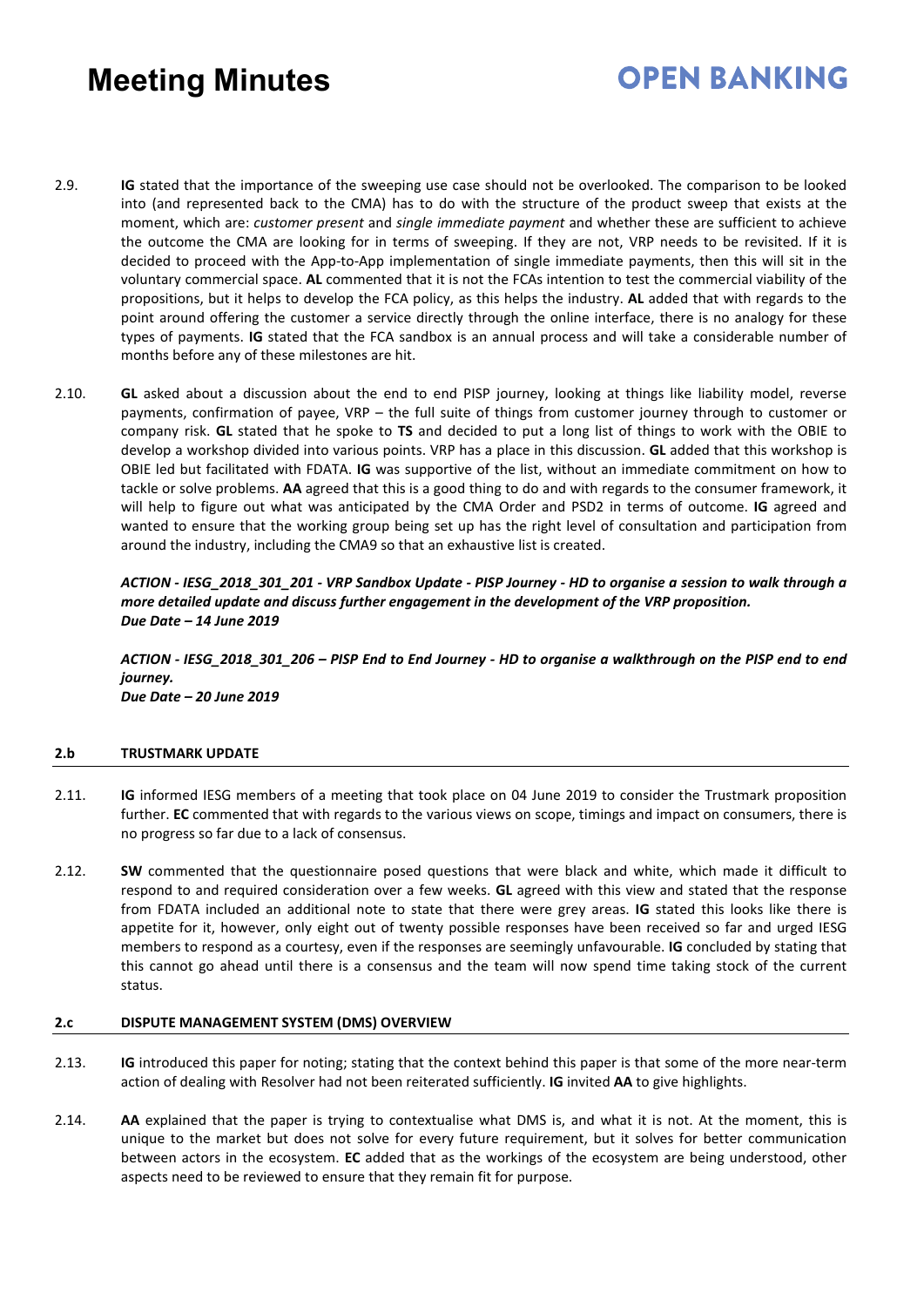## **OPEN BANKING**

- 2.9. **IG** stated that the importance of the sweeping use case should not be overlooked. The comparison to be looked into (and represented back to the CMA) has to do with the structure of the product sweep that exists at the moment, which are: *customer present* and *single immediate payment* and whether these are sufficient to achieve the outcome the CMA are looking for in terms of sweeping. If they are not, VRP needs to be revisited. If it is decided to proceed with the App-to-App implementation of single immediate payments, then this will sit in the voluntary commercial space. **AL** commented that it is not the FCAs intention to test the commercial viability of the propositions, but it helps to develop the FCA policy, as this helps the industry. **AL** added that with regards to the point around offering the customer a service directly through the online interface, there is no analogy for these types of payments. **IG** stated that the FCA sandbox is an annual process and will take a considerable number of months before any of these milestones are hit.
- 2.10. **GL** asked about a discussion about the end to end PISP journey, looking at things like liability model, reverse payments, confirmation of payee, VRP – the full suite of things from customer journey through to customer or company risk. **GL** stated that he spoke to **TS** and decided to put a long list of things to work with the OBIE to develop a workshop divided into various points. VRP has a place in this discussion. **GL** added that this workshop is OBIE led but facilitated with FDATA. **IG** was supportive of the list, without an immediate commitment on how to tackle or solve problems. **AA** agreed that this is a good thing to do and with regards to the consumer framework, it will help to figure out what was anticipated by the CMA Order and PSD2 in terms of outcome. **IG** agreed and wanted to ensure that the working group being set up has the right level of consultation and participation from around the industry, including the CMA9 so that an exhaustive list is created.

### *ACTION - IESG\_2018\_301\_201 - VRP Sandbox Update - PISP Journey - HD to organise a session to walk through a more detailed update and discuss further engagement in the development of the VRP proposition. Due Date – 14 June 2019*

*ACTION - IESG\_2018\_301\_206 – PISP End to End Journey - HD to organise a walkthrough on the PISP end to end journey. Due Date – 20 June 2019*

### **2.b TRUSTMARK UPDATE**

- 2.11. **IG** informed IESG members of a meeting that took place on 04 June 2019 to consider the Trustmark proposition further. **EC** commented that with regards to the various views on scope, timings and impact on consumers, there is no progress so far due to a lack of consensus.
- 2.12. **SW** commented that the questionnaire posed questions that were black and white, which made it difficult to respond to and required consideration over a few weeks. **GL** agreed with this view and stated that the response from FDATA included an additional note to state that there were grey areas. **IG** stated this looks like there is appetite for it, however, only eight out of twenty possible responses have been received so far and urged IESG members to respond as a courtesy, even if the responses are seemingly unfavourable. **IG** concluded by stating that this cannot go ahead until there is a consensus and the team will now spend time taking stock of the current status.

### **2.c DISPUTE MANAGEMENT SYSTEM (DMS) OVERVIEW**

- 2.13. **IG** introduced this paper for noting; stating that the context behind this paper is that some of the more near-term action of dealing with Resolver had not been reiterated sufficiently. **IG** invited **AA** to give highlights.
- 2.14. **AA** explained that the paper is trying to contextualise what DMS is, and what it is not. At the moment, this is unique to the market but does not solve for every future requirement, but it solves for better communication between actors in the ecosystem. **EC** added that as the workings of the ecosystem are being understood, other aspects need to be reviewed to ensure that they remain fit for purpose.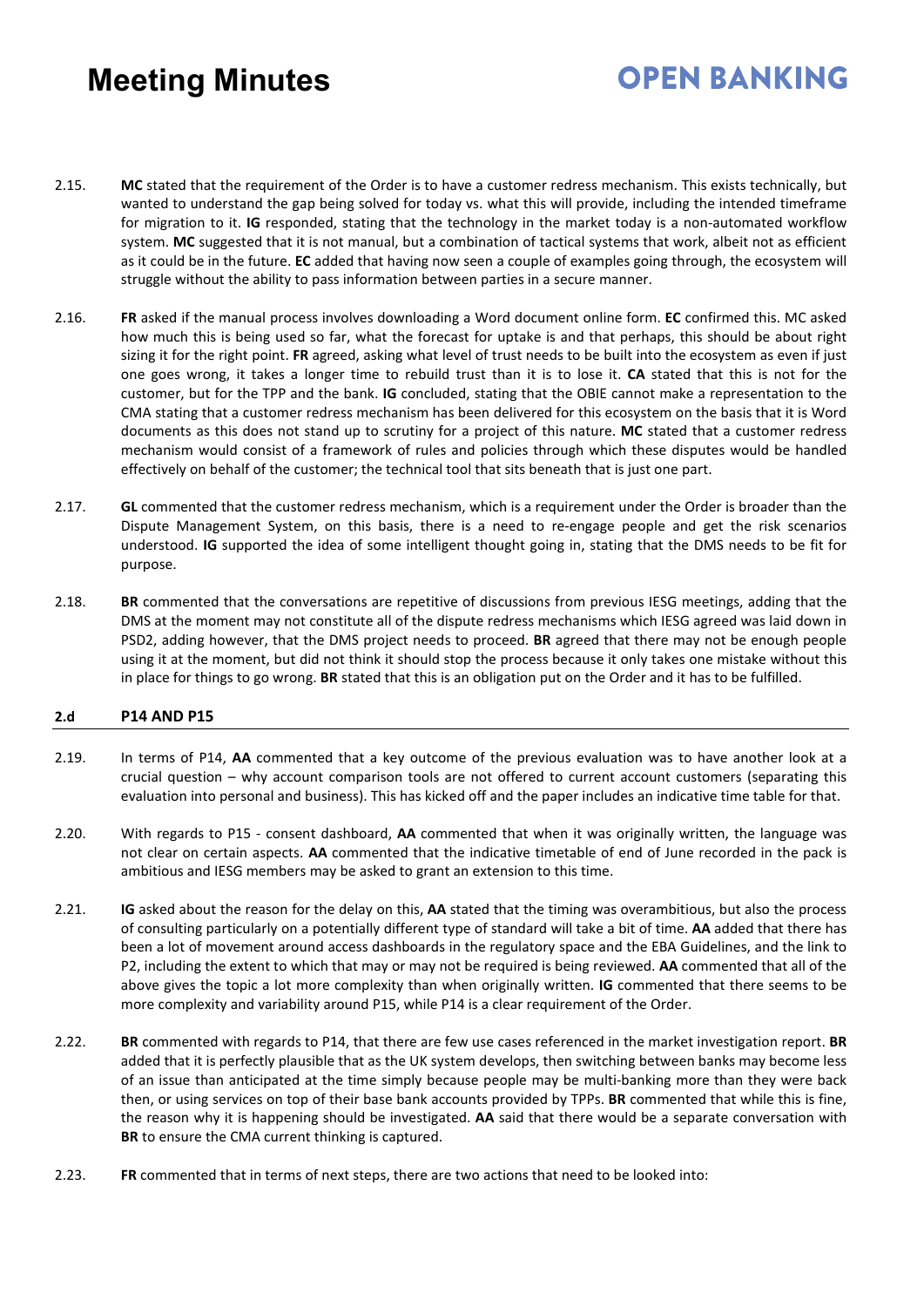# **OPEN BANKING**

- 2.15. **MC** stated that the requirement of the Order is to have a customer redress mechanism. This exists technically, but wanted to understand the gap being solved for today vs. what this will provide, including the intended timeframe for migration to it. **IG** responded, stating that the technology in the market today is a non-automated workflow system. **MC** suggested that it is not manual, but a combination of tactical systems that work, albeit not as efficient as it could be in the future. **EC** added that having now seen a couple of examples going through, the ecosystem will struggle without the ability to pass information between parties in a secure manner.
- 2.16. **FR** asked if the manual process involves downloading a Word document online form. **EC** confirmed this. MC asked how much this is being used so far, what the forecast for uptake is and that perhaps, this should be about right sizing it for the right point. **FR** agreed, asking what level of trust needs to be built into the ecosystem as even if just one goes wrong, it takes a longer time to rebuild trust than it is to lose it. **CA** stated that this is not for the customer, but for the TPP and the bank. **IG** concluded, stating that the OBIE cannot make a representation to the CMA stating that a customer redress mechanism has been delivered for this ecosystem on the basis that it is Word documents as this does not stand up to scrutiny for a project of this nature. **MC** stated that a customer redress mechanism would consist of a framework of rules and policies through which these disputes would be handled effectively on behalf of the customer; the technical tool that sits beneath that is just one part.
- 2.17. **GL** commented that the customer redress mechanism, which is a requirement under the Order is broader than the Dispute Management System, on this basis, there is a need to re-engage people and get the risk scenarios understood. **IG** supported the idea of some intelligent thought going in, stating that the DMS needs to be fit for purpose.
- 2.18. **BR** commented that the conversations are repetitive of discussions from previous IESG meetings, adding that the DMS at the moment may not constitute all of the dispute redress mechanisms which IESG agreed was laid down in PSD2, adding however, that the DMS project needs to proceed. **BR** agreed that there may not be enough people using it at the moment, but did not think it should stop the process because it only takes one mistake without this in place for things to go wrong. **BR** stated that this is an obligation put on the Order and it has to be fulfilled.

### **2.d P14 AND P15**

- 2.19. In terms of P14, **AA** commented that a key outcome of the previous evaluation was to have another look at a crucial question – why account comparison tools are not offered to current account customers (separating this evaluation into personal and business). This has kicked off and the paper includes an indicative time table for that.
- 2.20. With regards to P15 consent dashboard, **AA** commented that when it was originally written, the language was not clear on certain aspects. **AA** commented that the indicative timetable of end of June recorded in the pack is ambitious and IESG members may be asked to grant an extension to this time.
- 2.21. **IG** asked about the reason for the delay on this, **AA** stated that the timing was overambitious, but also the process of consulting particularly on a potentially different type of standard will take a bit of time. **AA** added that there has been a lot of movement around access dashboards in the regulatory space and the EBA Guidelines, and the link to P2, including the extent to which that may or may not be required is being reviewed. **AA** commented that all of the above gives the topic a lot more complexity than when originally written. **IG** commented that there seems to be more complexity and variability around P15, while P14 is a clear requirement of the Order.
- 2.22. **BR** commented with regards to P14, that there are few use cases referenced in the market investigation report. **BR** added that it is perfectly plausible that as the UK system develops, then switching between banks may become less of an issue than anticipated at the time simply because people may be multi-banking more than they were back then, or using services on top of their base bank accounts provided by TPPs. **BR** commented that while this is fine, the reason why it is happening should be investigated. **AA** said that there would be a separate conversation with **BR** to ensure the CMA current thinking is captured.
- 2.23. **FR** commented that in terms of next steps, there are two actions that need to be looked into: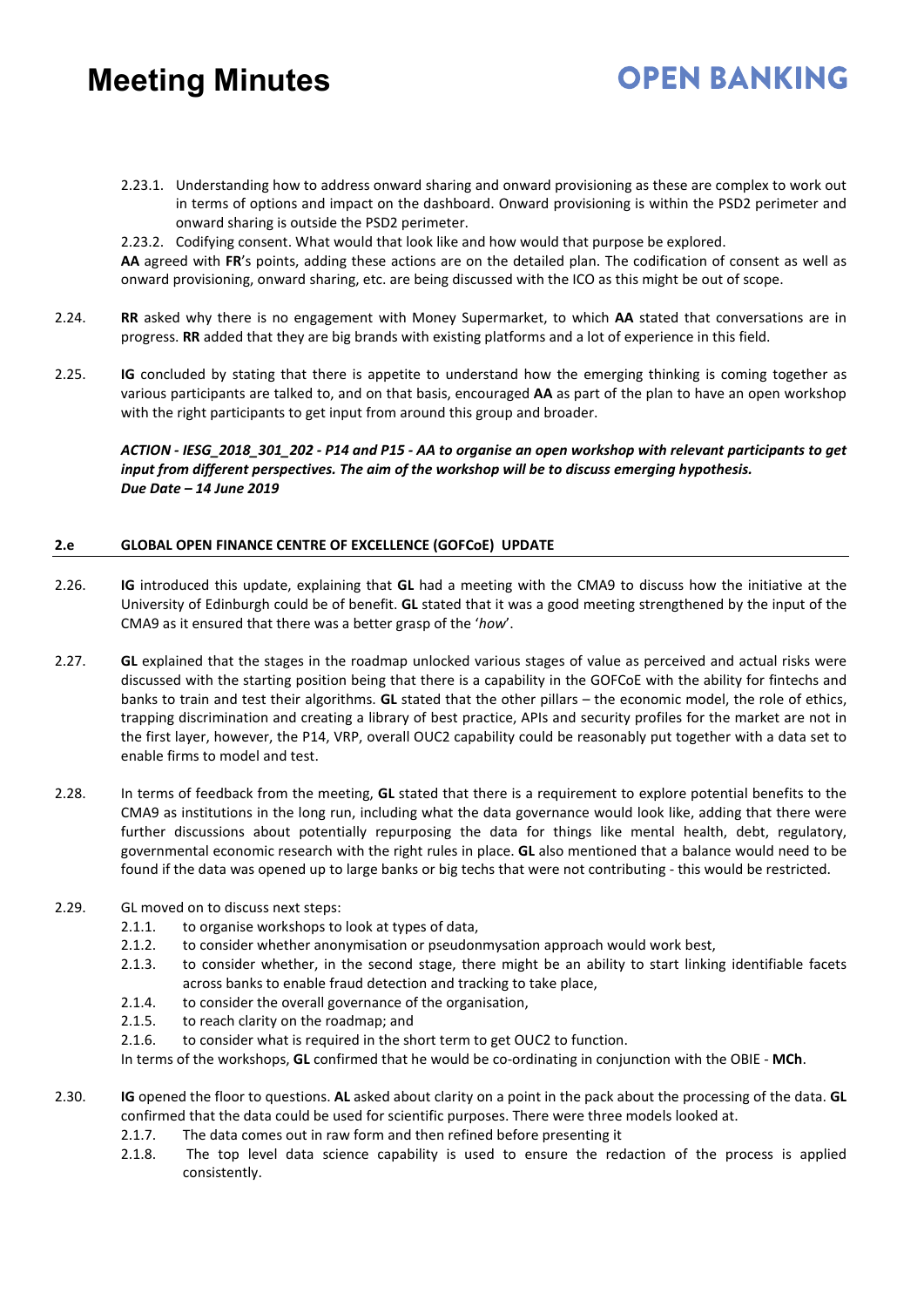2.23.1. Understanding how to address onward sharing and onward provisioning as these are complex to work out in terms of options and impact on the dashboard. Onward provisioning is within the PSD2 perimeter and onward sharing is outside the PSD2 perimeter.

**OPEN BANKING** 

2.23.2. Codifying consent. What would that look like and how would that purpose be explored.

**AA** agreed with **FR**'s points, adding these actions are on the detailed plan. The codification of consent as well as onward provisioning, onward sharing, etc. are being discussed with the ICO as this might be out of scope.

- 2.24. **RR** asked why there is no engagement with Money Supermarket, to which **AA** stated that conversations are in progress. **RR** added that they are big brands with existing platforms and a lot of experience in this field.
- 2.25. **IG** concluded by stating that there is appetite to understand how the emerging thinking is coming together as various participants are talked to, and on that basis, encouraged **AA** as part of the plan to have an open workshop with the right participants to get input from around this group and broader.

*ACTION - IESG\_2018\_301\_202 - P14 and P15 - AA to organise an open workshop with relevant participants to get input from different perspectives. The aim of the workshop will be to discuss emerging hypothesis. Due Date – 14 June 2019* 

### **2.e GLOBAL OPEN FINANCE CENTRE OF EXCELLENCE (GOFCoE) UPDATE**

- 2.26. **IG** introduced this update, explaining that **GL** had a meeting with the CMA9 to discuss how the initiative at the University of Edinburgh could be of benefit. **GL** stated that it was a good meeting strengthened by the input of the CMA9 as it ensured that there was a better grasp of the '*how*'.
- 2.27. **GL** explained that the stages in the roadmap unlocked various stages of value as perceived and actual risks were discussed with the starting position being that there is a capability in the GOFCoE with the ability for fintechs and banks to train and test their algorithms. **GL** stated that the other pillars – the economic model, the role of ethics, trapping discrimination and creating a library of best practice, APIs and security profiles for the market are not in the first layer, however, the P14, VRP, overall OUC2 capability could be reasonably put together with a data set to enable firms to model and test.
- 2.28. In terms of feedback from the meeting, **GL** stated that there is a requirement to explore potential benefits to the CMA9 as institutions in the long run, including what the data governance would look like, adding that there were further discussions about potentially repurposing the data for things like mental health, debt, regulatory, governmental economic research with the right rules in place. **GL** also mentioned that a balance would need to be found if the data was opened up to large banks or big techs that were not contributing - this would be restricted.
- 2.29. GL moved on to discuss next steps:
	- 2.1.1. to organise workshops to look at types of data,
	- 2.1.2. to consider whether anonymisation or pseudonmysation approach would work best,
	- 2.1.3. to consider whether, in the second stage, there might be an ability to start linking identifiable facets across banks to enable fraud detection and tracking to take place,
	- 2.1.4. to consider the overall governance of the organisation,
	- 2.1.5. to reach clarity on the roadmap; and
	- 2.1.6. to consider what is required in the short term to get OUC2 to function.

In terms of the workshops, **GL** confirmed that he would be co-ordinating in conjunction with the OBIE - **MCh**.

- 2.30. **IG** opened the floor to questions. **AL** asked about clarity on a point in the pack about the processing of the data. **GL** confirmed that the data could be used for scientific purposes. There were three models looked at.
	- 2.1.7. The data comes out in raw form and then refined before presenting it
	- 2.1.8. The top level data science capability is used to ensure the redaction of the process is applied consistently.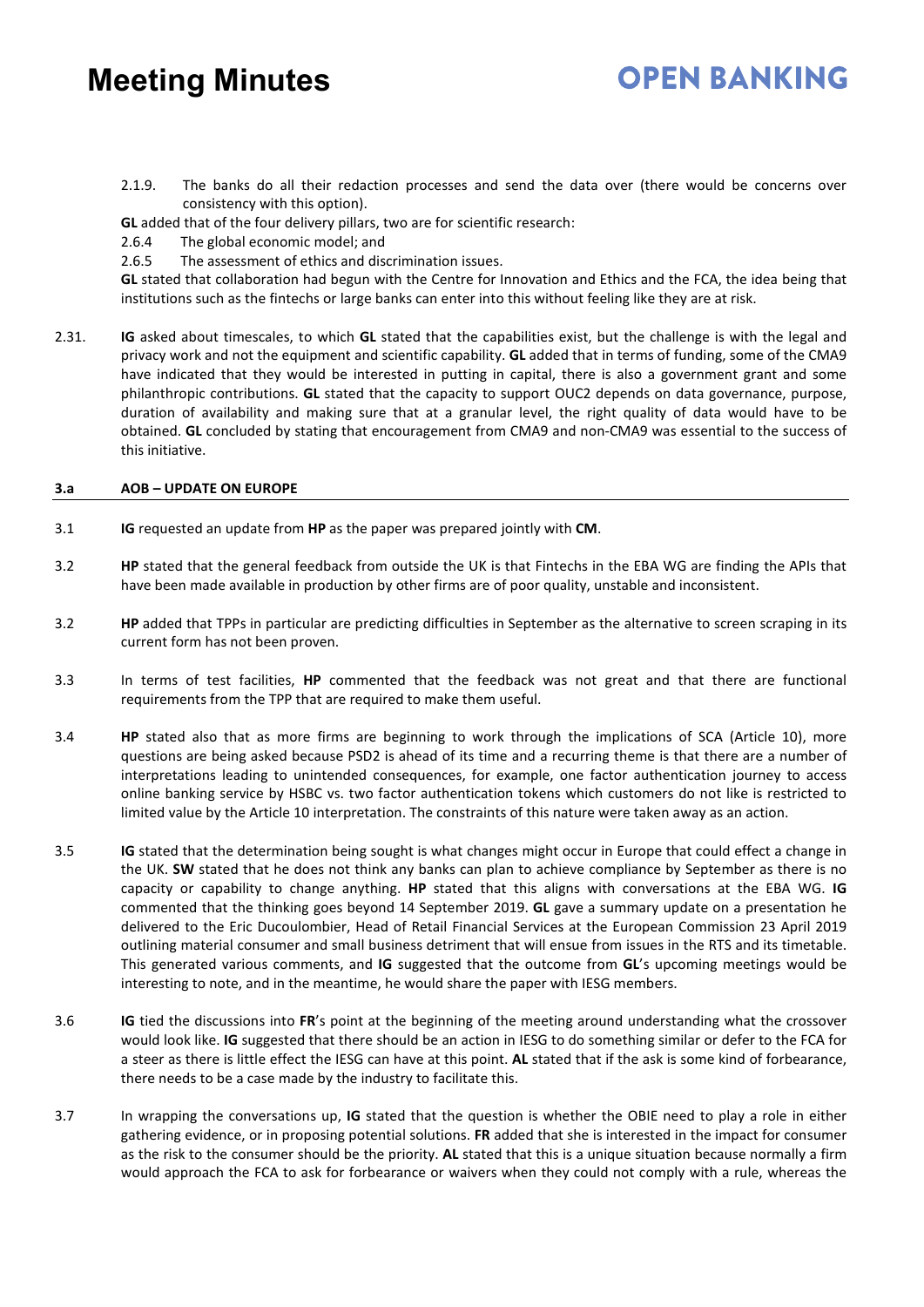- **OPEN BANKING**
- 2.1.9. The banks do all their redaction processes and send the data over (there would be concerns over consistency with this option).
- **GL** added that of the four delivery pillars, two are for scientific research:
- 2.6.4 The global economic model; and
- 2.6.5 The assessment of ethics and discrimination issues.

**GL** stated that collaboration had begun with the Centre for Innovation and Ethics and the FCA, the idea being that institutions such as the fintechs or large banks can enter into this without feeling like they are at risk.

2.31. **IG** asked about timescales, to which **GL** stated that the capabilities exist, but the challenge is with the legal and privacy work and not the equipment and scientific capability. **GL** added that in terms of funding, some of the CMA9 have indicated that they would be interested in putting in capital, there is also a government grant and some philanthropic contributions. **GL** stated that the capacity to support OUC2 depends on data governance, purpose, duration of availability and making sure that at a granular level, the right quality of data would have to be obtained. **GL** concluded by stating that encouragement from CMA9 and non-CMA9 was essential to the success of this initiative.

### **3.a AOB – UPDATE ON EUROPE**

- 3.1 **IG** requested an update from **HP** as the paper was prepared jointly with **CM**.
- 3.2 **HP** stated that the general feedback from outside the UK is that Fintechs in the EBA WG are finding the APIs that have been made available in production by other firms are of poor quality, unstable and inconsistent.
- 3.2 **HP** added that TPPs in particular are predicting difficulties in September as the alternative to screen scraping in its current form has not been proven.
- 3.3 In terms of test facilities, **HP** commented that the feedback was not great and that there are functional requirements from the TPP that are required to make them useful.
- 3.4 **HP** stated also that as more firms are beginning to work through the implications of SCA (Article 10), more questions are being asked because PSD2 is ahead of its time and a recurring theme is that there are a number of interpretations leading to unintended consequences, for example, one factor authentication journey to access online banking service by HSBC vs. two factor authentication tokens which customers do not like is restricted to limited value by the Article 10 interpretation. The constraints of this nature were taken away as an action.
- 3.5 **IG** stated that the determination being sought is what changes might occur in Europe that could effect a change in the UK. **SW** stated that he does not think any banks can plan to achieve compliance by September as there is no capacity or capability to change anything. **HP** stated that this aligns with conversations at the EBA WG. **IG** commented that the thinking goes beyond 14 September 2019. **GL** gave a summary update on a presentation he delivered to the Eric Ducoulombier, Head of Retail Financial Services at the European Commission 23 April 2019 outlining material consumer and small business detriment that will ensue from issues in the RTS and its timetable. This generated various comments, and **IG** suggested that the outcome from **GL**'s upcoming meetings would be interesting to note, and in the meantime, he would share the paper with IESG members.
- 3.6 **IG** tied the discussions into **FR**'s point at the beginning of the meeting around understanding what the crossover would look like. **IG** suggested that there should be an action in IESG to do something similar or defer to the FCA for a steer as there is little effect the IESG can have at this point. **AL** stated that if the ask is some kind of forbearance, there needs to be a case made by the industry to facilitate this.
- 3.7 In wrapping the conversations up, **IG** stated that the question is whether the OBIE need to play a role in either gathering evidence, or in proposing potential solutions. **FR** added that she is interested in the impact for consumer as the risk to the consumer should be the priority. **AL** stated that this is a unique situation because normally a firm would approach the FCA to ask for forbearance or waivers when they could not comply with a rule, whereas the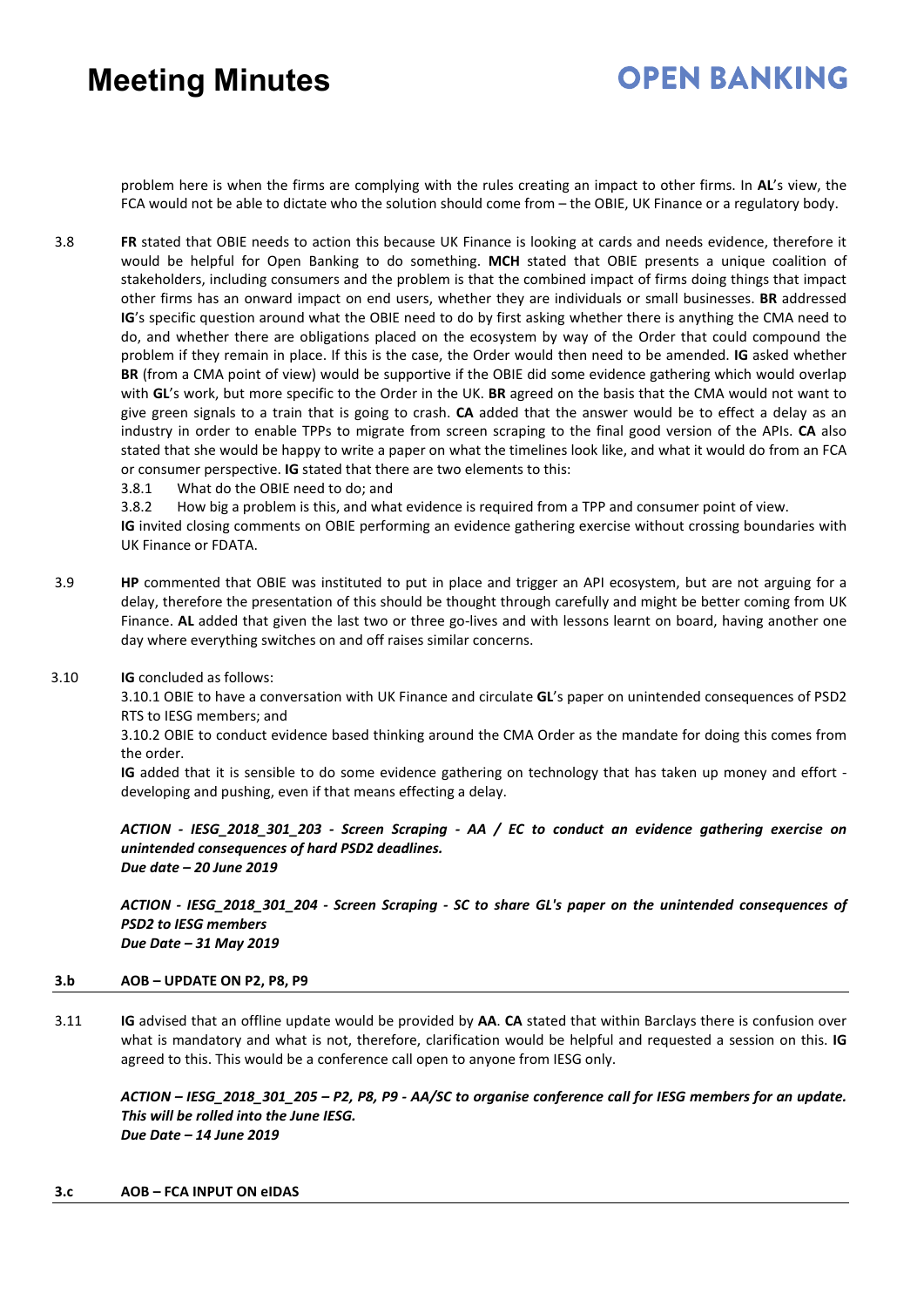## **OPEN BANKING**

problem here is when the firms are complying with the rules creating an impact to other firms. In **AL**'s view, the FCA would not be able to dictate who the solution should come from – the OBIE, UK Finance or a regulatory body.

- 3.8 **FR** stated that OBIE needs to action this because UK Finance is looking at cards and needs evidence, therefore it would be helpful for Open Banking to do something. **MCH** stated that OBIE presents a unique coalition of stakeholders, including consumers and the problem is that the combined impact of firms doing things that impact other firms has an onward impact on end users, whether they are individuals or small businesses. **BR** addressed **IG**'s specific question around what the OBIE need to do by first asking whether there is anything the CMA need to do, and whether there are obligations placed on the ecosystem by way of the Order that could compound the problem if they remain in place. If this is the case, the Order would then need to be amended. **IG** asked whether **BR** (from a CMA point of view) would be supportive if the OBIE did some evidence gathering which would overlap with **GL**'s work, but more specific to the Order in the UK. **BR** agreed on the basis that the CMA would not want to give green signals to a train that is going to crash. **CA** added that the answer would be to effect a delay as an industry in order to enable TPPs to migrate from screen scraping to the final good version of the APIs. **CA** also stated that she would be happy to write a paper on what the timelines look like, and what it would do from an FCA or consumer perspective. **IG** stated that there are two elements to this:
	- 3.8.1 What do the OBIE need to do; and

3.8.2 How big a problem is this, and what evidence is required from a TPP and consumer point of view.

**IG** invited closing comments on OBIE performing an evidence gathering exercise without crossing boundaries with UK Finance or FDATA.

- 3.9 **HP** commented that OBIE was instituted to put in place and trigger an API ecosystem, but are not arguing for a delay, therefore the presentation of this should be thought through carefully and might be better coming from UK Finance. **AL** added that given the last two or three go-lives and with lessons learnt on board, having another one day where everything switches on and off raises similar concerns.
- 3.10 **IG** concluded as follows:

3.10.1 OBIE to have a conversation with UK Finance and circulate **GL**'s paper on unintended consequences of PSD2 RTS to IESG members; and

3.10.2 OBIE to conduct evidence based thinking around the CMA Order as the mandate for doing this comes from the order.

**IG** added that it is sensible to do some evidence gathering on technology that has taken up money and effort developing and pushing, even if that means effecting a delay.

*ACTION - IESG\_2018\_301\_203 - Screen Scraping - AA / EC to conduct an evidence gathering exercise on unintended consequences of hard PSD2 deadlines. Due date – 20 June 2019* 

*ACTION - IESG\_2018\_301\_204 - Screen Scraping - SC to share GL's paper on the unintended consequences of PSD2 to IESG members Due Date – 31 May 2019*

### **3.b AOB – UPDATE ON P2, P8, P9**

3.11 **IG** advised that an offline update would be provided by **AA**. **CA** stated that within Barclays there is confusion over what is mandatory and what is not, therefore, clarification would be helpful and requested a session on this. **IG** agreed to this. This would be a conference call open to anyone from IESG only.

*ACTION – IESG\_2018\_301\_205 – P2, P8, P9 - AA/SC to organise conference call for IESG members for an update. This will be rolled into the June IESG. Due Date – 14 June 2019* 

#### **3.c AOB – FCA INPUT ON eIDAS**